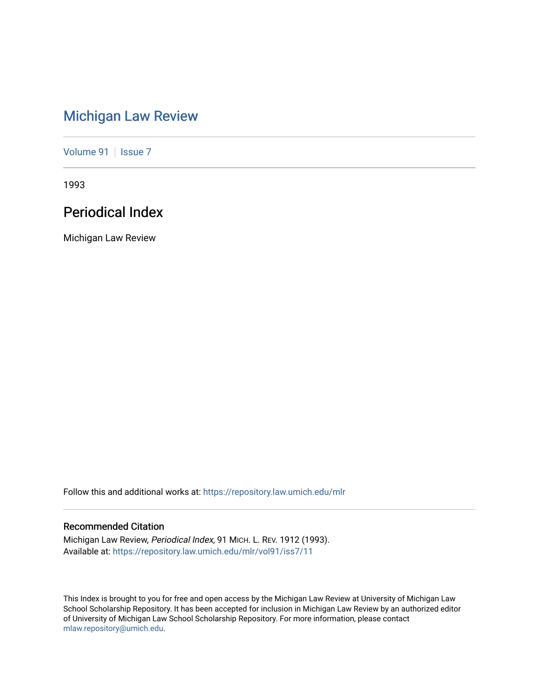# [Michigan Law Review](https://repository.law.umich.edu/mlr)

[Volume 91](https://repository.law.umich.edu/mlr/vol91) | [Issue 7](https://repository.law.umich.edu/mlr/vol91/iss7)

1993

# Periodical Index

Michigan Law Review

Follow this and additional works at: [https://repository.law.umich.edu/mlr](https://repository.law.umich.edu/mlr?utm_source=repository.law.umich.edu%2Fmlr%2Fvol91%2Fiss7%2F11&utm_medium=PDF&utm_campaign=PDFCoverPages) 

## Recommended Citation

Michigan Law Review, Periodical Index, 91 MICH. L. REV. 1912 (1993). Available at: [https://repository.law.umich.edu/mlr/vol91/iss7/11](https://repository.law.umich.edu/mlr/vol91/iss7/11?utm_source=repository.law.umich.edu%2Fmlr%2Fvol91%2Fiss7%2F11&utm_medium=PDF&utm_campaign=PDFCoverPages) 

This Index is brought to you for free and open access by the Michigan Law Review at University of Michigan Law School Scholarship Repository. It has been accepted for inclusion in Michigan Law Review by an authorized editor of University of Michigan Law School Scholarship Repository. For more information, please contact [mlaw.repository@umich.edu.](mailto:mlaw.repository@umich.edu)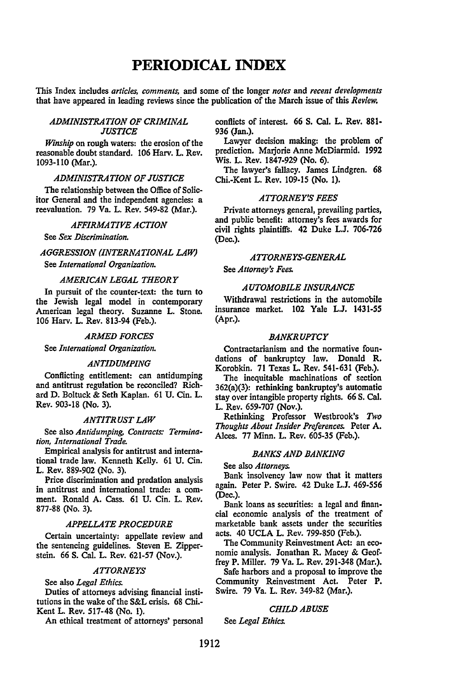## **PERIODICAL INDEX**

This Index includes *articles, comments,* and some of the longer *notes* and *recent developments*  that have appeared in leading reviews since the publication of the March issue of this *Review.* 

## *ADMINISTRATION OF CRIMINAL JUSTICE*

*Winship* on rough waters: the erosion of the reasonable doubt standard. 106 Harv. L. Rev. 1093-110 (Mar.).

#### *ADMINISTRATION OF JUSTICE*

The relationship between the Office of Solicitor General and the independent agencies: a reevaluation. 79 Va. L. Rev. 549-82 (Mar.).

#### *AFFIRMATIVE ACTION*

See *Sex Discrimination.* 

## *AGGRESSION (INTERNATIONAL LAW)*  See *International Organization.*

## *AMERICAN LEGAL THEORY*

In pursuit of the counter-text: the tum to the Jewish legal model in contemporary American legal theory. Suzanne L. Stone. 106 Harv. L. Rev. 813-94 (Feb.).

## *ARMED FORCES*

## See *International Organization.*

#### *ANTIDUMPING*

Conflicting entitlement: can antidumping and antitrust regulation be reconciled? Richard D. Boltuck & Seth Kaplan. 61 U. Cin. L. Rev. 903-18 (No. 3).

#### *ANTITRUST LAW*

See also *Antidumping, Contracts: Termination, International Trade.* 

Empirical analysis for antitrust and international trade law. Kenneth Kelly. 61 U. Cin. L. Rev. 889-902 (No. 3).

Price discrimination and predation analysis in antitrust and international trade: a comment. Ronald A. Cass. 61 U. Cin. L. Rev. 877-88 (No. 3).

## *APPELLATE PROCEDURE*

Certain uncertainty: appellate review and the sentencing guidelines. Steven E. Zipperstein. 66 S. Cal. L. Rev. 621-57 (Nov.).

## *ATTORNEYS*

See also *Legal Ethics.* 

Duties of attorneys advising financial institutions in the wake of the S&L crisis. 68 Chi.- Kent L. Rev. 517-48 (No. 1).

An ethical treatment of attorneys' personal

conflicts of interest. 66 S. Cal. L. Rev. 881- 936 (Jan.).

Lawyer decision making: the problem of prediction. Marjorie Anne McDiarmid. 1992 Wis. L. Rev. 1847-929 (No. 6).

The lawyer's fallacy. James Lindgren. 68 Chi.-Kent L. Rev. 109-15 (No. 1).

## *ATTORNEY'S FEES*

Private attorneys general, prevailing parties, and public benefit: attorney's fees awards for civil rights plaintiffs. 42 Duke L.J. 706-726 (Dec.).

## *ATTORNEYS-GENERAL*

See *Attorney's Fees.* 

## *AUTOMOBILE INSURANCE*

Withdrawal restrictions in the automobile insurance market. 102 Yale L.J. 1431-55 (Apr.).

#### *BANKRUPTCY*

Contractarianism and the normative foundations of bankruptcy law. Donald R. Korobkin. 71 Texas L. Rev. 541-631 (Feb.).

The inequitable machinations of section 362(a)(3): rethinking bankruptcy's automatic stay over intangible property rights. 66 S. Cal. L. Rev. 659-707 (Nov.).

Rethinking Professor Westbrook's Two *Thoughts About Insider Preferences.* Peter A. Alces. 77 Minn. L. Rev. 605-35 (Feb.).

## *BANKS AND BANKING*

See also *Attorneys.* 

Bank insolvency law now that it matters again. Peter P. Swire. 42 Duke L.J. 469-556 (Dec.).

Bank loans as securities: a legal and financial economic analysis of the treatment of marketable bank assets under the securities acts. 40 UCLA L. Rev. 799-850 (Feb.).

The Community Reinvestment Act: an economic analysis. Jonathan R. Macey & Geoffrey P. Miller. 79 Va. L. Rev. 291-348 (Mar.).

Safe harbors and a proposal to improve the Community Reinvestment Act. Peter P. Swire. 79 Va. L. Rev. 349-82 (Mar.).

#### *CHILD ABUSE*

See *Legal Ethics.*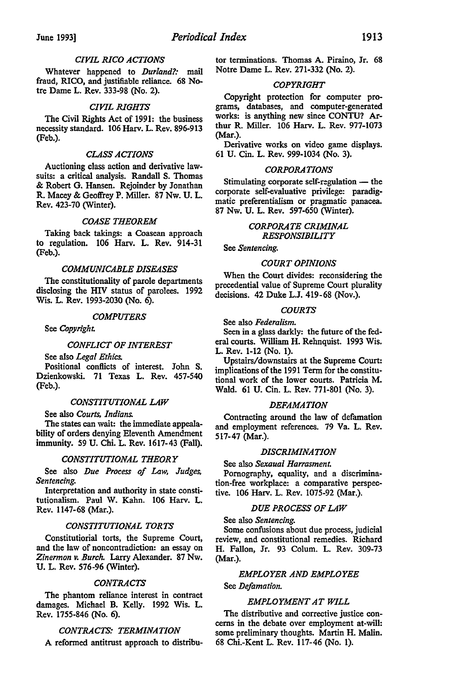## *CIVIL RICO ACTIONS*

Whatever happened to *Durland?:* mail fraud, RICO, and justifiable reliance. 68 Notre Dame L. Rev. 333-98 (No. 2).

## *CIVIL RIGHTS*

The Civil Rights Act of 1991: the business necessity standard. 106 Harv. L. Rev. 896-913 (Feb.).

## *CLASS ACTIONS*

Auctioning class action and derivative lawsuits: a critical analysis. Randall S. Thomas & Robert G. Hansen. Rejoinder by Jonathan R. Macey & Geoffrey P. Miller. 87 Nw. U. L. Rev. 423-70 (Winter).

## *COASE THEOREM*

Taking back takings: a Coasean approach to regulation. 106 Harv. L. Rev. 914-31 (Feb.).

## *COMMUNICABLE DISEASES*

The constitutionality of parole departments disclosing the HIV status of parolees. 1992 Wis. L. Rev. 1993-2030 (No. 6).

## *COMPUTERS*

See *Copyright.* 

## *CONFLICT OF INTEREST*

See also *Legal Ethics.* 

Positional conflicts of interest. John S. Dzienkowski. 71 Texas L. Rev. 457-540 (Feb.).

#### *CONSTITUTIONAL LAW*

See also *Courts, Indians.* 

The states can wait: the immediate appealability of orders denying Eleventh Amendment immunity. 59 U. Chi. L. Rev. 1617-43 (Fall).

## *CONSTITUTIONAL THEORY*

See also *Due Process of Law, Judges, Sentencing.* 

Interpretation and authority in state constitutionalism. Paul W. Kahn. 106 Harv. L. Rev. 1147-68 (Mar.).

#### *CONSTITUTIONAL TORTS*

Constitutiorial torts, the Supreme Court, and the law of noncontradiction: an essay on *Zinermon v. Burch.* Larry Alexander. 87 Nw. U. L. Rev. 576-96 (Winter).

## *CONTRACTS*

The phantom reliance interest in contract damages. Michael B. Kelly. 1992 Wis. L. Rev. 1755-846 (No. 6).

## *CONTRACTS: TERMINATION*

A reformed antitrust approach to distribu-

tor terminations. Thomas A. Piraino, Jr. 68 Notre Dame L. Rev. 271-332 (No. 2).

#### *COPYRIGHT*

Copyright protection for computer programs, databases, and computer-generated works: is anything new since CONTU? Arthur R. Miller. 106 Harv. L. Rev. 977-1073 (Mar.).

Derivative works on video game displays. 61 U. Cin. L. Rev. 999-1034 (No. 3).

#### *CORPORATIONS*

Stimulating corporate self-regulation  $-$  the corporate self-evaluative privilege: paradigmatic preferentialism or pragmatic panacea. 87 Nw. U. L. Rev. 597-650 (Winter).

## *CORPORATE CRIMINAL RESPONSIBILITY*

See *Sentencing.* 

## *COURT OPINIONS*

When the Court divides: reconsidering the precedential value of Supreme Court plurality decisions. 42 Duke L.J. 419-68 (Nov.).

## *COURTS*

See also *Federalism.* 

Seen in a glass darkly: the future of the federal courts. William H. Rehnquist. 1993 Wis. L. Rev. 1-12 (No. 1).

Upstairs/downstairs at the Supreme Court: implications of the 1991 Term for the constitutional work of the lower courts. Patricia M. Wald. 61 U. Cin. L. Rev. 771-801 (No. 3).

#### *DEFAMATION*

Contracting around the law of defamation and employment references. 79 Va. L. Rev. 517-47 (Mar.).

## *DISCRIMINATION*

## See also *Sexaual Harrasment.*

Pornography, equality, and a discrimination-free workplace: a comparative perspective. 106 Harv. L. Rev. 1075-92 (Mar.).

## *DUE PROCESS OF LAW*

## See also *Sentencing.*

Some confusions about due process, judicial review, and constitutional remedies. Richard H. Fallon, Jr. 93 Colum. L. Rev. 309-73 (Mar.).

#### *EMPLOYER AND EMPLOYEE*

See *Defamation.* 

#### *EMPLOYMENT AT WILL*

The distributive and corrective justice concerns in the debate over employment at-will: some preliminary thoughts. Martin H. Malin. 68 Chi.-Kent L. Rev. 117-46 (No. 1).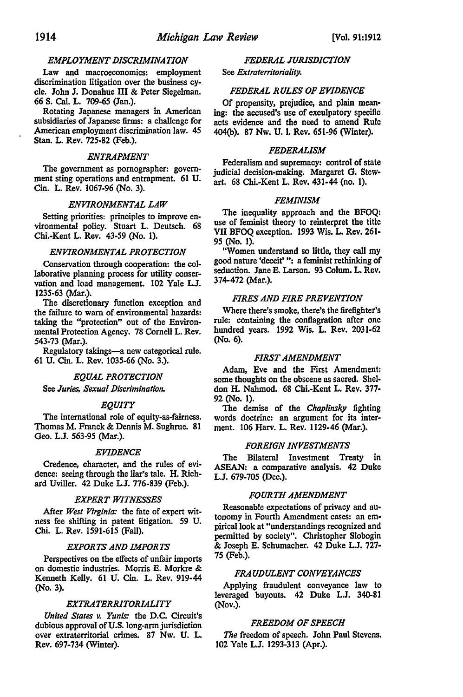## *EMPLOYMENT DISCRIMINATION*

Law and macroeconomics: employment discrimination litigation over the business cycle. John J. Donahue III & Peter Siegelman. 66 S. Cal. L. 709-65 (Jan.).

Rotating Japanese managers in American subsidiaries of Japanese firms: a challenge for American employment discrimination law. 45 Stan. L. Rev. 725-82 (Feb.).

## *ENTRAPMENT*

The government as pornographer: government sting operations and entrapment. 61 U. Cin. L. Rev. 1067-96 (No. 3).

## *ENVIRONMENTAL LAW*

Setting priorities: principles to improve environmental policy. Stuart L. Deutsch. 68 Chi.-Kent L. Rev. 43-59 (No. 1).

## *ENVIRONMENTAL PROTECTION*

Conservation through cooperation: the collaborative planning process for utility conservation and load management. 102 Yale L.J. 1235-63 (Mar.).

The discretionary function exception and the failure to warn of environmental hazards: taking the "protection" out of the Environmental Protection Agency. 78 Cornell L. Rev. 543-73 (Mar.).

Regulatory takings-a new categorical rule. 61 U. Cin. L. Rev. 1035-66 (No. 3.).

#### *EQUAL PROTECTION*

See *Juries, Sexual Discrimination.* 

#### *EQUITY*

The international role of equity-as-fairness. Thomas M. Franck & Dennis M. Sughrue. 81 Geo. L.J. 563-95 (Mar.).

#### *EVIDENCE*

Credence, character, and the rules of evidence: seeing through the liar's tale. H. Richard Uviller. 42 Duke L.J. 776-839 (Feb.).

#### *EXPERT WITNESSES*

After *West Virginia:* the fate of expert witness fee shifting in patent litigation. 59 U. Chi. L. Rev. 1591-615 (Fall).

## *EXPORTS AND IMPORTS*

Perspectives on the effects of unfair imports on domestic industries. Morris E. Morkre & Kenneth Kelly. 61 U. Cin. L. Rev. 919-44 (No. 3).

## *EXTRATERRITORIALITY*

*United States v. Yunis:* the D.C. Circuit's dubious approval of U.S. long-arm jurisdiction over extraterritorial crimes. 87 Nw. U. L. Rev. 697-734 (Winter).

#### *FEDERAL JURISDICTION*

#### See *Extraterritoriality.*

#### *FEDERAL RULES OF EVIDENCE*

Of propensity, prejudice, and plain meaning: the accused's use of exculpatory specific acts evidence and the need to amend Rule 404(b). 87 Nw. U. 1. Rev. 651-96 (Winter).

#### *FEDERALISM*

Federalism and supremacy: control of state judicial decision-making. Margaret G. Stewart. 68 Chi.-Kent L. Rev. 431-44 (no. 1).

#### *FEMINISM*

The inequality approach and the BFOQ: use of feminist theory to reinterpret the title VII BFOQ exception. 1993 Wis. L. Rev. 261- 95 (No. 1).

"Women understand so little, they call my good nature 'deceit'": a feminist rethinking of seduction. Jane E. Larson. 93 Colum. L. Rev. 374-472 (Mar.).

## *FIRES AND FIRE PREVENTION*

Where there's smoke, there's the firefighter's rule: containing the conflagration after one hundred years. 1992 Wis. L. Rev. 2031-62 (No. 6).

#### *FIRST AMENDMENT*

Adam, Eve and the First Amendment: some thoughts on the obscene as sacred. Sheldon H. Nahmod. 68 Chi.-Kent L. Rev. 377- 92 (No. 1).

The demise of the *Chaplinsky* fighting words doctrine: an argument for its interment. 106 Harv. L. Rev. 1129-46 (Mar.).

## *FOREIGN INVESTMENTS*

The Bilateral Investment Treaty in ASEAN: a comparative analysis. 42 Duke L.J. 679-705 (Dec.).

#### *FOURTH AMENDMENT*

Reasonable expectations of privacy and autonomy in Fourth Amendment cases: an empirical look at "understandings recognized and permitted by society". Christopher Slobogin & Joseph E. Schumacher. 42 Duke L.J. 727- 75 (Feb.).

## *FRAUDULENT CONVEYANCES*

Applying fraudulent conveyance law to leveraged buyouts. 42 Duke L.J. 340-81 (Nov.).

#### *FREEDOM OF SPEECH*

*The* freedom of speech. John Paul Stevens. 102 Yale L.J. 1293-313 (Apr.).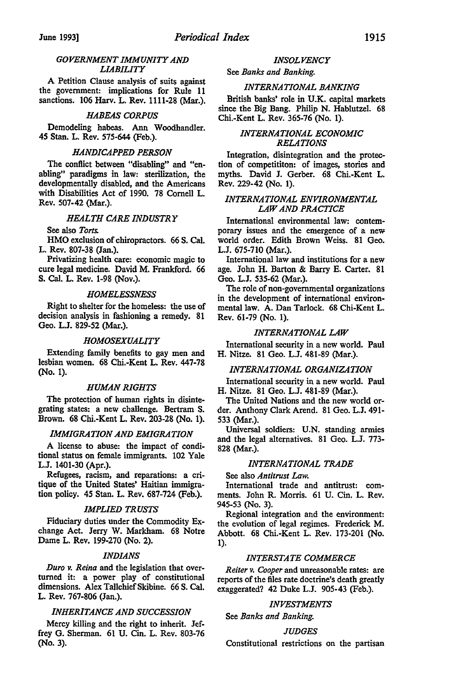## *GOVERNMENT IMMUNITY AND LIABILITY*

A Petition Clause analysis of suits against the government: implications for Rule 11 sanctions. 106 Harv. L. Rev. 1111-28 (Mar.).

## *HABEAS CORPUS*

Demodeling habeas. Ann Woodhandler. 45 Stan. L. Rev. 575-644 (Feb.).

## *HANDICAPPED PERSON*

The conflict between "disabling" and "enabling" paradigms in law: sterilization, the developmentally disabled, and the Americans with Disabilities Act of 1990. 78 Cornell L. Rev. 507-42 (Mar.).

## *HEALTH CARE INDUSTRY*

## See also *Torts.*

HMO exclusion of chiropractors. 66 S. Cal. L. Rev. 807-38 (Jan.).

Privatizing health care: economic magic to cure legal medicine. David M. Frankford. 66 S. Cal. L. Rev. 1-98 (Nov.).

## *HOMELESSNESS*

Right to shelter for the homeless: the use of decision analysis in fashioning a remedy. 81 Geo. L.J. 829-52 (Mar.).

## *HOMOSEXUALITY*

Extending family benefits to gay men and lesbian women. 68 Chi.-Kent L. Rev. 447-78 (No. 1).

## *HUMAN RIGHTS*

The protection of human rights in disintegrating states: a new challenge. Bertram S. Brown. 68 Chi.-Kent L. Rev. 203-28 (No. 1).

## *IMMIGRATION AND EMIGRATION*

A license to abuse: the impact of conditional status on female immigrants. 102 Yale L.J. 1401-30 (Apr.).

Refugees, racism, and reparations: a critique of the United States' Haitian immigration policy. 45 Stan. L. Rev. 687-724 (Feb.).

## *IMPLIED TRUSTS*

Fiduciary duties under the Commodity Exchange Act. Jerry W. Markham. 68 Notre Dame L. Rev. 199-270 (No. 2).

## *INDIANS*

*Dura v. Reina* and the legislation that overturned it: a power play of constitutional dimensions. Alex Tallchief Skibine. 66 S. Cal. L. Rev. 767-806 (Jan.).

## *INHERITANCE AND SUCCESSION*

Mercy killing and the right to inherit. Jeffrey G. Sherman. 61 U. Cin. L. Rev. 803-76 (No. 3).

#### *INSOLVENCY*

#### See *Banks and Banking.*

## *INTERNATIONAL BANKING*

British banks' role in U.K. capital markets since the Big Bang. Philip N. Hablutzel. 68 Chi.-Kent L. Rev. 365-76 (No. 1).

## *INTERNATIONAL ECONOMIC RELATIONS*

Integration, disintegration and the protection of competititon: of images, stories and myths. David J. Gerber. 68 Chi.-Kent L. Rev. 229-42 (No. 1).

## *INTERNATIONAL ENVIRONMENTAL LAW AND PRACTICE*

International environmental law: contemporary issues and the emergence of a new world order. Edith Brown Weiss. 81 Geo. L.J. 675-710 (Mar.).

International law and institutions for a new age. John H. Barton & Barry E. Carter. 81 Geo. L.J. 535-62 (Mar.).

The role of non-governmental organizations in the development of international environmental law. A. Dan Tarlock. 68 Chi-Kent L. Rev. 61-79 (No. 1).

## *INTERNATIONAL LAW*

International security in a new world. Paul H. Nitze. 81 Geo. L.J. 481-89 (Mar.).

## *INTERNATIONAL ORGANIZATION*

International security in a new world. Paul H. Nitze. 81 Geo. L.J. 481-89 (Mar.).

The United Nations and the new world order. Anthony Clark Arend. 81 Geo. L.J. 491- 533 (Mar.).

Universal soldiers: U.N. standing armies and the legal alternatives. 81 Geo. L.J. 773- 828 (Mar.).

## *INTERNATIONAL TRADE*

## See also *Antitrust Law.*

International trade and antitrust: comments. John R. Morris. 61 U. Cin. L. Rev. 945-53 (No. 3).

Regional integration and the environment: the evolution of legal regimes. Frederick M. Abbott. 68 Chi.-Kent L. Rev. 173-201 (No. 1).

#### *INTERSTATE COMMERCE*

*Reiter v. Cooper* and unreasonable rates: are reports of the files rate doctrine's death greatly exaggerated? 42 Duke L.J. 905-43 (Feb.).

## *INVESTMENTS*

See *Banks and Banking.* 

## *JUDGES*

Constitutional restrictions on the partisan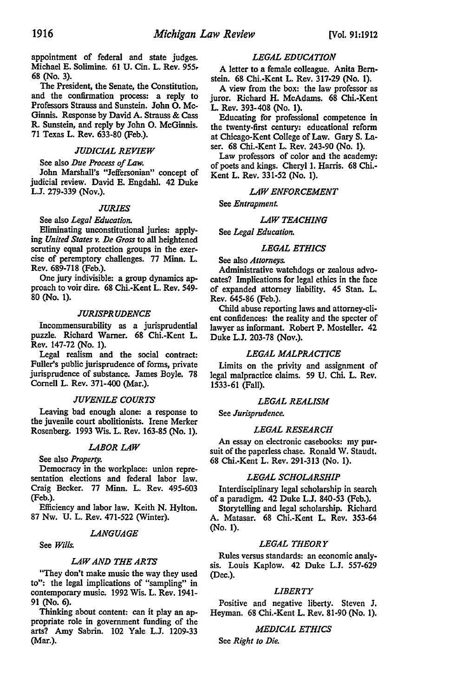appointment of federal and state judges. Michael E. Solimine. 61 U. Cin. L. Rev. 955. 68 (No. 3).

The President, the Senate, the Constitution, and the confirmation process: a reply to Professors Strauss and Sunstein. John 0. Mc-Ginnis. Response by David A. Strauss & Cass R. Sunstein, and reply by John 0. McGinnis. 71 Texas L. Rev. 633-80 (Feb.).

## *JUDICIAL REVIEW*

See also *Due Process of Law.* 

John Marshall's "Jeffersonian" concept of judicial review. David E. Engdahl. 42 Duke L.J. 279-339 (Nov.).

#### *JURIES*

## See also *Legal Education.*

Eliminating unconstitutional juries: applying *United States v. De Gross* to all heightened scrutiny equal protection groups in the exercise of peremptory challenges. 77 Minn. L. Rev. 689-718 (Feb.).

One jury indivisible: a group dynamics approach to voir dire. 68 Chi.-Kent L. Rev. 549- 80 (No. 1).

#### *JURISPRUDENCE*

Incommensurability as a jurisprudential puzzle. Richard Warner. 68 Chi.-Kent L. Rev. 147-72 (No. 1).

Legal realism and the social contract: Fuller's public jurisprudence of forms, private jurisprudence of substance. James Boyle. 78 Cornell L. Rev. 371-400 (Mar.).

#### *JUVENILE COURTS*

Leaving bad enough alone: a response to the juvenile court abolitionists. Irene Merker Rosenberg. 1993 Wis. L. Rev. 163-85 (No. 1).

## *LABOR LAW*

See also *Property.* 

Democracy in the workplace: union representation elections and federal labor law. Craig Becker. 77 Minn. L. Rev. 495-603 (Feb.).

Efficiency and labor law. Keith N. Hylton. 87 Nw. U. L. Rev. 471-522 (Winter).

#### *LANGUAGE*

See *Wills.* 

## *LAW AND THE ARTS*

"They don't make music the way they used to": the legal implications of "sampling" in contemporary music. 1992 Wis. L. Rev. 1941- 91 (No. 6).

Thinking about content: can it play an appropriate role in government funding of the arts? Amy Sabrin. 102 Yale L.J. 1209-33 (Mar.).

#### *LEGAL EDUCATION*

A letter to a female colleague. Anita Bernstein. 68 Chi.-Kent L. Rev. 317-29 (No. 1).

A view from the box: the law professor as juror. Richard H. McAdams. 68 Chi.-Kent L. Rev. 393-408 (No. 1).

Educating for professional competence in the twenty-first century: educational reform at Chicago-Kent College of Law. Gary S. Laser. 68 Chi.-Kent L. Rev. 243-90 (No. 1).

Law professors of color and the academy: of poets and kings. Cheryl 1. Harris. 68 Chi.- Kent L. Rev. 331-52 (No. 1).

## *LAW ENFORCEMENT*

See *Entrapment.* 

## *LAW TEACHING*

See *Legal Education.* 

## *LEGAL ETHICS*

See also *Attorneys.* 

Administrative watchdogs or zealous advocates? Implications for legal ethics in the face of expanded attorney liability. 45 Stan. L. Rev. 645-86 (Feb.).

Child abuse reporting laws and attorney-cli· ent confidences: the reality and the specter of lawyer as informant. Robert P. Mosteller. 42 Duke L.J. 203-78 (Nov.).

## *LEGAL MALPRACTICE*

Limits on the privity and assignment of legal malpractice claims. 59 U. Chi. L. Rev. 1533-61 {Fall).

#### *LEGAL REALISM*

See *Jurisprudence.* 

## *LEGAL RESEARCH*

An essay on electronic casebooks: my pursuit of the paperless chase. Ronald W. Staudt. 68 Chi.-Kent L. Rev. 291-313 (No. 1).

#### *LEGAL SCHOLARSHIP*

Interdisciplinary legal scholarship in search of a paradigm. 42 Duke L.J. 840-53 (Feb.).

Storytelling and legal scholarship. Richard A. Matasar. 68 Chi.-Kent L. Rev. 353-64 (No. 1).

## *LEGAL THEORY*

Rules versus standards: an economic analy· sis. Louis Kaplow. 42 Duke L.J. 557-629 (Dec.).

## *LIBERTY*

Positive and negative liberty. Steven J. Heyman. 68 Chi.-Kent L. Rev. 81-90 (No. 1).

## *MEDICAL ETHICS*

See *Right to Die.*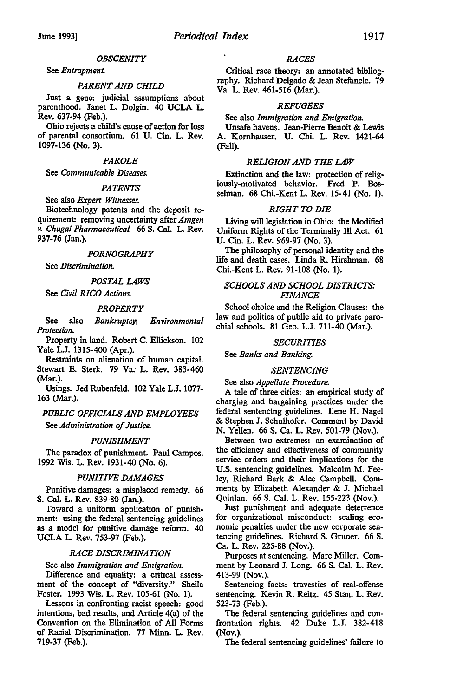#### *OBSCENITY*

## See *Entrapment.*

#### *PARENT AND CHILD*

Just a gene: judicial assumptions about parenthood. Janet L. Dolgin. 40 UCLA L. Rev. 637-94 (Feb.).

Ohio rejects a child's cause of action for loss of parental consortium. 61 U. Cin. L. Rev. 1097-136 (No. 3).

## *PAROLE*

#### See *Communicable Diseases.*

## *PATENTS*

## See also *Expert Witnesses.*

Biotechnology patents and the deposit requirement: removing uncertainty after *Amgen v. Chugai Pharmaceutical* 66 S. Cal. L. Rev. 937-76 (Jan.).

#### *PORNOGRAPHY*

See *Discrimination.* 

## *POSTAL LAWS*

See *Civil RICO Actions.* 

#### *PROPERTY*

See also *Bankruptcy, Environmental Protection.* 

Property in land. Robert C. Ellickson. 102 Yale L.J. 1315-400 (Apr.).

Restraints on alienation of human capital. Stewart E. Sterk. 79 Va; L. Rev. 383-460 (Mar.).

Usings. Jed Rubenfeld. 102 Yale L.J. 1077- 163 (Mar.).

## *PUBLIC OFFICIALS AND EMPLOYEES*  See *Administration of Justice.*

#### *PUNISHMENT*

The paradox of punishment. Paul Campos. 1992 Wis. L. Rev. 1931-40 (No. 6).

## *PUNITIVE DAMAGES*

Punitive damages: a misplaced remedy. 66 S. Cal. L. Rev. 839-80 (Jan.).

Toward a uniform application of punishment: using the federal sentencing guidelines as a model for punitive damage reform. 40 UCLA L. Rev. 753-97 (Feb.).

## *RACE DISCRIMINATION*

See also *Immigration and Emigration.* 

Difference and equality: a critical assessment of the concept of "diversity." Sheila Foster. 1993 Wis. L. Rev. 105-61 (No. 1).

Lessons in confronting racist speech: good intentions, bad results, and Article 4(a) of the Convention on the Elimination of All Forms of Racial Discrimination. 77 Minn. L. Rev. 719-37 (Feb.).

#### *RACES*

Critical race theory: an annotated bibliography. Richard Delgado & Jean Stefancic. 79 Va. L. Rev. 461-516 (Mar.).

#### *REFUGEES*

See also *Immigration and Emigration.* 

Unsafe havens. Jean-Pierre Benoit & Lewis A. Kornhauser. U. Chi. L. Rev. 1421-64 (Fall).

#### *RELIGION AND THE LAW*

Extinction and the law: protection of religiously-motivated behavior. Fred P. Bosselman. 68 Chi.-Kent L. Rev. 15-41 (No. 1).

## *RIGHT TO DIE*

Living will legislation in Ohio: the Modified Uniform Rights of the Terminally Ill Act. 61 U. Cin. L. Rev. 969-97 (No. 3).

The philosophy of personal identity and the life and death cases. Linda R. Hirshman. 68 Chi.-Kent L. Rev. 91-108 (No. 1).

## *SCHOOLS AND SCHOOL DISTRICTS: FINANCE*

School choice and the Religion Clauses: the law and politics of public aid to private parochial schools. 81 Geo. L.J. 711-40 (Mar.).

## *SECURITIES*

See *Banks and Banking.* 

#### *SENTENCING*

See also *Appellate Procedure.* 

A tale of three cities: an empirical study of charging and bargaining practices under the federal sentencing guidelines. Ilene H. Nagel & Stephen J. Schulhofer. Comment by David N. Yellen. 66 S. Ca. L. Rev. 501-79 (Nov.).

Between two extremes: an examination of the efficiency and effectiveness of community service orders and their implications for the U.S. sentencing guidelines. Malcolm M. Feeley, Richard Berk & Alec Campbell. Comments by Elizabeth Alexander & J. Michael Quinlan. 66 S. Cal. L. Rev. 155-223 (Nov.).

Just punishment and adequate deterrence for organizational misconduct: scaling economic penalties under the new corporate sentencing guidelines. Richard S. Gruner. 66 S. Ca. L. Rev. 225-88 (Nov.).

Purposes at sentencing. Marc Miller. Comment by Leonard J. Long. 66 S. Cal. L. Rev. 413-99 (Nov.).

Sentencing facts: travesties of real-offense sentencing. Kevin R. Reitz. 45 Stan. L. Rev. 523-73 (Feb.).

The federal sentencing guidelines and confrontation rights. 42 Duke L.J. 382-418 (Nov.).

The federal sentencing guidelines' failure to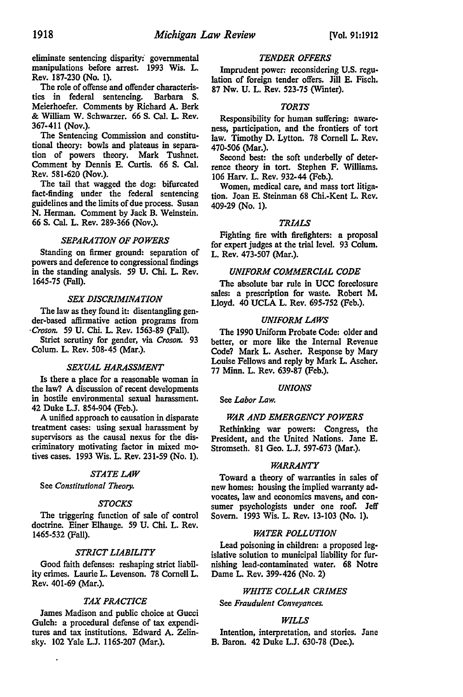eliminate sentencing disparity:' governmental manipulations before arrest. 1993 Wis. L. Rev. 187-230 (No. 1).

The role of offense and offender characteristics in federal sentencing. Barbara S. Meierhoefer. Comments by Richard A. Berk & William W. Schwarzer. 66 S. Cal. L. Rev. 367-411 (Nov.).

The Sentencing Commission and constitutional theory: bowls and plateaus in separation of powers theory. Mark Tushnet. Comment by Dennis E. Curtis. 66 S. Cal. Rev. 581-620 (Nov.).

The tail that wagged the dog: bifurcated fact-finding under the federal sentencing guidelines and the limits of due process. Susan N. Herman. Comment by Jack B. Weinstein. 66 S. Cal. L. Rev. 289-366 (Nov.).

## *SEPARATION OF POWERS*

Standing on firmer ground: separation of powers and deference to congressional findings in the standing analysis. 59 U. Chi. L. Rev. 1645-75 (Fall).

## *SEX DISCRIMINATION*

The law as they found it: disentangling gender-based affirmative action programs from *·Croson.* 59 U. Chi. L. Rev. 1563-89 (Fall).

Strict scrutiny for gender, via *Croson.* 93 Colum. L. Rev. 508-45 (Mar.).

## *SEXUAL HARASSMENT*

Is there a place for a reasonable woman in the law? A discussion of recent developments in hostile environmental sexual harassment. 42 Duke L.J. 854-904 (Feb.).

A unified approach to causation in disparate treatment cases: using sexual harassment by supervisors as the causal nexus for the discriminatory motivating factor in mixed motives cases. 1993 Wis. L. Rev. 231-59 (No. 1).

#### *STATE LAW*

See *Constitutional Theory.* 

## *STOCKS*

The triggering function of sale of control doctrine. Einer Elhauge. 59 U. Chi. L. Rev. 1465-532 (Fall).

## *STRICT LIABILITY*

Good faith defenses: reshaping strict liability crimes. Laurie L. Levenson. 78 Cornell L. Rev. 401-69 (Mar.).

## *TAX PRACTICE*

James Madison and public choice at Gucci Gulch: a procedural defense of tax expenditures and tax institutions. Edward A. Zelinsky. 102 Yale L.J. 1165-207 (Mar.).

## *TENDER OFFERS*

Imprudent power: reconsidering U.S. regulation of foreign tender offers. Jill E. Fisch. 87 Nw. U. L. Rev. 523-75 (Winter).

## *TORTS*

Responsibility for human suffering: awareness, participation, and the frontiers of tort law. Timothy D. Lytton. 78 Cornell L. Rev. 470-506 (Mar.).

Second best: the soft underbelly of deterrence theory in tort. Stephen F. Williams. 106 Harv. L. Rev. 932-44 (Feb.).

Women, medical care, and mass tort litigation. Joan E. Steinman 68 Chi.-Kent L. Rev. 409-29 (No. 1).

## *TRIALS*

Fighting fire with firefighters: a proposal for expert judges at the trial level. 93 Colum. L. Rev. 473-507 (Mar.).

#### *UNIFORM COMMERCIAL CODE*

The absolute bar rule in UCC foreclosure sales: a prescription for waste. Robert M. Lloyd. 40 UCLA L. Rev. 695-752 (Feb.).

## *UNIFORM LAWS*

The 1990 Uniform Probate Code: older and better, or more like the Internal Revenue Code? Mark L. Ascher. Response by Mary Louise Fellows and reply by Mark L. Ascher. 77 Minn. L. Rev. 639-87 (Feb.).

#### *UNIONS*

See *Labor Law.* 

## *WAR AND EMERGENCY POWERS*

Rethinking war powers: Congress, the President, and the United Nations. Jane E. Stromseth. 81 Geo. L.J. 597-673 (Mar.).

#### *WARRANTY*

Toward a theory of warranties in sales of new homes: housing the implied warranty advocates, law and economics mavens, and consumer psychologists under one roof. Jeff Sovern. 1993 Wis. L. Rev. 13-103 (No. 1).

#### *WATER POLLUTION*

Lead poisoning in children: a proposed legislative solution to municipal liability for furnishing lead-contaminated water. 68 Notre Dame L. Rev. 399-426 (No. 2)

## *WHITE COLLAR CRIMES*

See *Fraudulent Conveyances.* 

#### *WILLS*

Intention, interpretation, and stories. Jane B. Baron. 42 Duke L.J. 630-78 (Dec.).